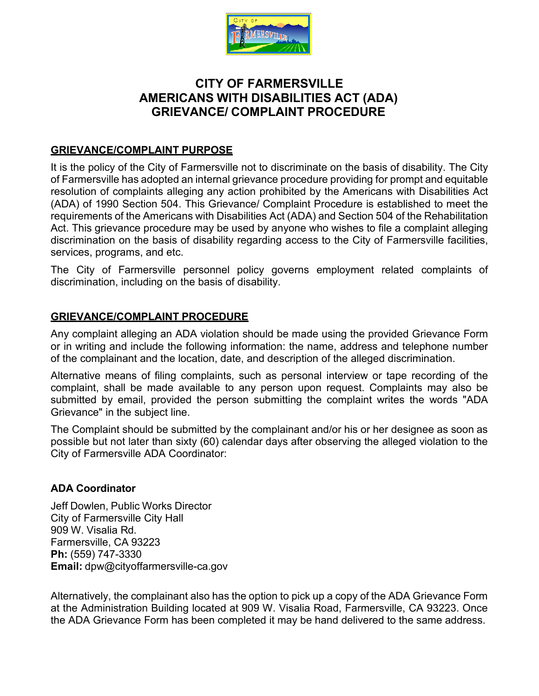

# **CITY OF FARMERSVILLE AMERICANS WITH DISABILITIES ACT (ADA) GRIEVANCE/ COMPLAINT PROCEDURE**

#### **GRIEVANCE/COMPLAINT PURPOSE**

It is the policy of the City of Farmersville not to discriminate on the basis of disability. The City of Farmersville has adopted an internal grievance procedure providing for prompt and equitable resolution of complaints alleging any action prohibited by the Americans with Disabilities Act (ADA) of 1990 Section 504. This Grievance/ Complaint Procedure is established to meet the requirements of the Americans with Disabilities Act (ADA) and Section 504 of the Rehabilitation Act. This grievance procedure may be used by anyone who wishes to file a complaint alleging discrimination on the basis of disability regarding access to the City of Farmersville facilities, services, programs, and etc.

The City of Farmersville personnel policy governs employment related complaints of discrimination, including on the basis of disability.

### **GRIEVANCE/COMPLAINT PROCEDURE**

Any complaint alleging an ADA violation should be made using the provided Grievance Form or in writing and include the following information: the name, address and telephone number of the complainant and the location, date, and description of the alleged discrimination.

Alternative means of filing complaints, such as personal interview or tape recording of the complaint, shall be made available to any person upon request. Complaints may also be submitted by email, provided the person submitting the complaint writes the words "ADA Grievance" in the subject line.

The Complaint should be submitted by the complainant and/or his or her designee as soon as possible but not later than sixty (60) calendar days after observing the alleged violation to the City of Farmersville ADA Coordinator:

#### **ADA Coordinator**

Jeff Dowlen, Public Works Director City of Farmersville City Hall 909 W. Visalia Rd. Farmersville, CA 93223 **Ph:** (559) 747-3330 **Email:** [dpw@cityoffarmersville-ca.gov](mailto:dpw@cityoffarmersville-ca.gov)

Alternatively, the complainant also has the option to pick up a copy of the ADA Grievance Form at the Administration Building located at 909 W. Visalia Road, Farmersville, CA 93223. Once the ADA Grievance Form has been completed it may be hand delivered to the same address.